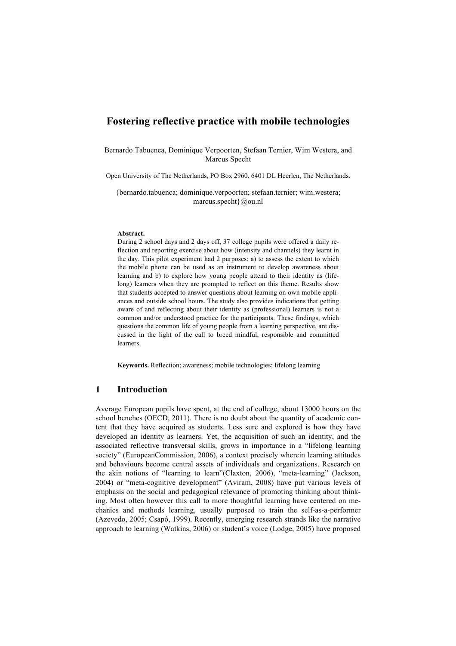# **Fostering reflective practice with mobile technologies**

Bernardo Tabuenca, Dominique Verpoorten, Stefaan Ternier, Wim Westera, and Marcus Specht

Open University of The Netherlands, PO Box 2960, 6401 DL Heerlen, The Netherlands.

{bernardo.tabuenca; dominique.verpoorten; stefaan.ternier; wim.westera; marcus.specht}@ou.nl

#### **Abstract.**

During 2 school days and 2 days off, 37 college pupils were offered a daily reflection and reporting exercise about how (intensity and channels) they learnt in the day. This pilot experiment had 2 purposes: a) to assess the extent to which the mobile phone can be used as an instrument to develop awareness about learning and b) to explore how young people attend to their identity as (lifelong) learners when they are prompted to reflect on this theme. Results show that students accepted to answer questions about learning on own mobile appliances and outside school hours. The study also provides indications that getting aware of and reflecting about their identity as (professional) learners is not a common and/or understood practice for the participants. These findings, which questions the common life of young people from a learning perspective, are discussed in the light of the call to breed mindful, responsible and committed learners.

**Keywords.** Reflection; awareness; mobile technologies; lifelong learning

### **1 Introduction**

Average European pupils have spent, at the end of college, about 13000 hours on the school benches (OECD, 2011). There is no doubt about the quantity of academic content that they have acquired as students. Less sure and explored is how they have developed an identity as learners. Yet, the acquisition of such an identity, and the associated reflective transversal skills, grows in importance in a "lifelong learning society" (EuropeanCommission, 2006), a context precisely wherein learning attitudes and behaviours become central assets of individuals and organizations. Research on the akin notions of "learning to learn"(Claxton, 2006), "meta-learning" (Jackson, 2004) or "meta-cognitive development" (Aviram, 2008) have put various levels of emphasis on the social and pedagogical relevance of promoting thinking about thinking. Most often however this call to more thoughtful learning have centered on mechanics and methods learning, usually purposed to train the self-as-a-performer (Azevedo, 2005; Csapó, 1999). Recently, emerging research strands like the narrative approach to learning (Watkins, 2006) or student's voice (Lodge, 2005) have proposed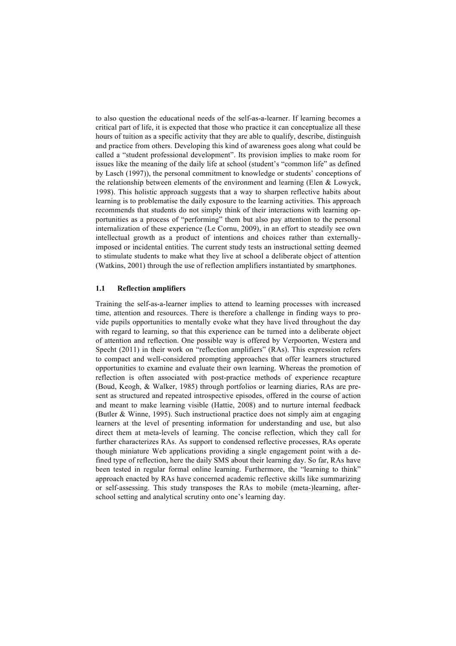to also question the educational needs of the self-as-a-learner. If learning becomes a critical part of life, it is expected that those who practice it can conceptualize all these hours of tuition as a specific activity that they are able to qualify, describe, distinguish and practice from others. Developing this kind of awareness goes along what could be called a "student professional development". Its provision implies to make room for issues like the meaning of the daily life at school (student's "common life" as defined by Lasch (1997)), the personal commitment to knowledge or students' conceptions of the relationship between elements of the environment and learning (Elen  $& Lowyck$ , 1998). This holistic approach suggests that a way to sharpen reflective habits about learning is to problematise the daily exposure to the learning activities. This approach recommends that students do not simply think of their interactions with learning opportunities as a process of "performing" them but also pay attention to the personal internalization of these experience (Le Cornu, 2009), in an effort to steadily see own intellectual growth as a product of intentions and choices rather than externallyimposed or incidental entities. The current study tests an instructional setting deemed to stimulate students to make what they live at school a deliberate object of attention (Watkins, 2001) through the use of reflection amplifiers instantiated by smartphones.

### **1.1 Reflection amplifiers**

Training the self-as-a-learner implies to attend to learning processes with increased time, attention and resources. There is therefore a challenge in finding ways to provide pupils opportunities to mentally evoke what they have lived throughout the day with regard to learning, so that this experience can be turned into a deliberate object of attention and reflection. One possible way is offered by Verpoorten, Westera and Specht (2011) in their work on "reflection amplifiers" (RAs). This expression refers to compact and well-considered prompting approaches that offer learners structured opportunities to examine and evaluate their own learning. Whereas the promotion of reflection is often associated with post-practice methods of experience recapture (Boud, Keogh, & Walker, 1985) through portfolios or learning diaries, RAs are present as structured and repeated introspective episodes, offered in the course of action and meant to make learning visible (Hattie, 2008) and to nurture internal feedback (Butler & Winne, 1995). Such instructional practice does not simply aim at engaging learners at the level of presenting information for understanding and use, but also direct them at meta-levels of learning. The concise reflection, which they call for further characterizes RAs. As support to condensed reflective processes, RAs operate though miniature Web applications providing a single engagement point with a defined type of reflection, here the daily SMS about their learning day. So far, RAs have been tested in regular formal online learning. Furthermore, the "learning to think" approach enacted by RAs have concerned academic reflective skills like summarizing or self-assessing. This study transposes the RAs to mobile (meta-)learning, afterschool setting and analytical scrutiny onto one's learning day.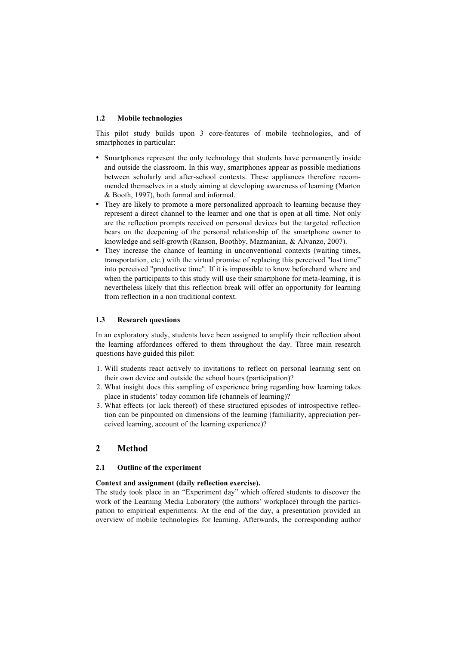### **1.2 Mobile technologies**

This pilot study builds upon 3 core-features of mobile technologies, and of smartphones in particular:

- Smartphones represent the only technology that students have permanently inside and outside the classroom. In this way, smartphones appear as possible mediations between scholarly and after-school contexts. These appliances therefore recommended themselves in a study aiming at developing awareness of learning (Marton & Booth, 1997), both formal and informal.
- They are likely to promote a more personalized approach to learning because they represent a direct channel to the learner and one that is open at all time. Not only are the reflection prompts received on personal devices but the targeted reflection bears on the deepening of the personal relationship of the smartphone owner to knowledge and self-growth (Ranson, Boothby, Mazmanian, & Alvanzo, 2007).
- They increase the chance of learning in unconventional contexts (waiting times, transportation, etc.) with the virtual promise of replacing this perceived "lost time" into perceived "productive time". If it is impossible to know beforehand where and when the participants to this study will use their smartphone for meta-learning, it is nevertheless likely that this reflection break will offer an opportunity for learning from reflection in a non traditional context.

### **1.3 Research questions**

In an exploratory study, students have been assigned to amplify their reflection about the learning affordances offered to them throughout the day. Three main research questions have guided this pilot:

- 1. Will students react actively to invitations to reflect on personal learning sent on their own device and outside the school hours (participation)?
- 2. What insight does this sampling of experience bring regarding how learning takes place in students' today common life (channels of learning)?
- 3. What effects (or lack thereof) of these structured episodes of introspective reflection can be pinpointed on dimensions of the learning (familiarity, appreciation perceived learning, account of the learning experience)?

# **2 Method**

### **2.1 Outline of the experiment**

### **Context and assignment (daily reflection exercise).**

The study took place in an "Experiment day" which offered students to discover the work of the Learning Media Laboratory (the authors' workplace) through the participation to empirical experiments. At the end of the day, a presentation provided an overview of mobile technologies for learning. Afterwards, the corresponding author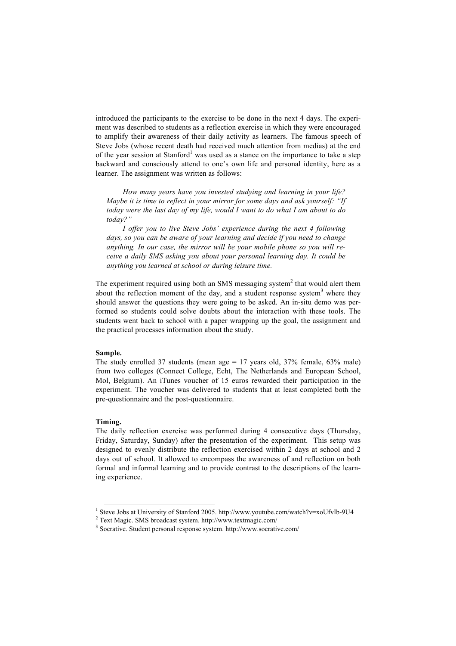introduced the participants to the exercise to be done in the next 4 days. The experiment was described to students as a reflection exercise in which they were encouraged to amplify their awareness of their daily activity as learners. The famous speech of Steve Jobs (whose recent death had received much attention from medias) at the end of the year session at Stanford<sup>1</sup> was used as a stance on the importance to take a step backward and consciously attend to one's own life and personal identity, here as a learner. The assignment was written as follows:

*How many years have you invested studying and learning in your life? Maybe it is time to reflect in your mirror for some days and ask yourself: "If today were the last day of my life, would I want to do what I am about to do today?"* 

*I offer you to live Steve Jobs' experience during the next 4 following days, so you can be aware of your learning and decide if you need to change anything. In our case, the mirror will be your mobile phone so you will receive a daily SMS asking you about your personal learning day. It could be anything you learned at school or during leisure time.* 

The experiment required using both an SMS messaging system<sup>2</sup> that would alert them about the reflection moment of the day, and a student response system<sup>3</sup> where they should answer the questions they were going to be asked. An in-situ demo was performed so students could solve doubts about the interaction with these tools. The students went back to school with a paper wrapping up the goal, the assignment and the practical processes information about the study.

### **Sample.**

The study enrolled 37 students (mean age  $= 17$  years old, 37% female, 63% male) from two colleges (Connect College, Echt, The Netherlands and European School, Mol, Belgium). An iTunes voucher of 15 euros rewarded their participation in the experiment. The voucher was delivered to students that at least completed both the pre-questionnaire and the post-questionnaire.

### **Timing.**

The daily reflection exercise was performed during 4 consecutive days (Thursday, Friday, Saturday, Sunday) after the presentation of the experiment. This setup was designed to evenly distribute the reflection exercised within 2 days at school and 2 days out of school. It allowed to encompass the awareness of and reflection on both formal and informal learning and to provide contrast to the descriptions of the learning experience.

<sup>&</sup>lt;sup>1</sup> Steve Jobs at University of Stanford 2005. http://www.youtube.com/watch?v=xoUfvIb-9U4

<sup>2</sup> Text Magic. SMS broadcast system. http://www.textmagic.com/

<sup>3</sup> Socrative. Student personal response system. http://www.socrative.com/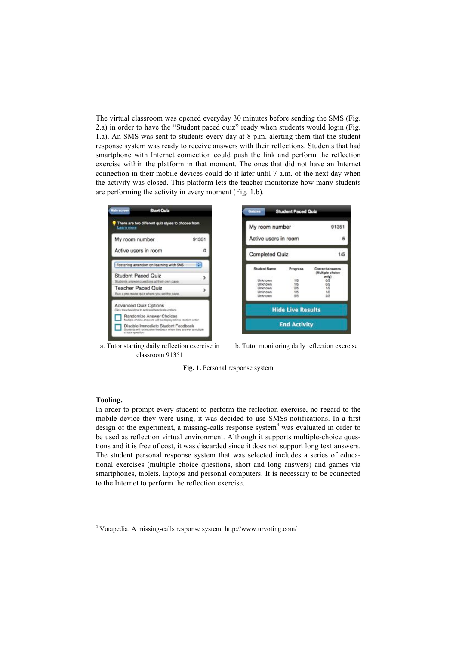The virtual classroom was opened everyday 30 minutes before sending the SMS (Fig. 2.a) in order to have the "Student paced quiz" ready when students would login (Fig. 1.a). An SMS was sent to students every day at 8 p.m. alerting them that the student response system was ready to receive answers with their reflections. Students that had smartphone with Internet connection could push the link and perform the reflection exercise within the platform in that moment. The ones that did not have an Internet connection in their mobile devices could do it later until 7 a.m. of the next day when the activity was closed. This platform lets the teacher monitorize how many students are performing the activity in every moment (Fig. 1.b).



a. Tutor starting daily reflection exercise in classroom 91351





#### **Tooling.**

In order to prompt every student to perform the reflection exercise, no regard to the mobile device they were using, it was decided to use SMSs notifications. In a first design of the experiment, a missing-calls response system<sup>4</sup> was evaluated in order to be used as reflection virtual environment. Although it supports multiple-choice questions and it is free of cost, it was discarded since it does not support long text answers. The student personal response system that was selected includes a series of educational exercises (multiple choice questions, short and long answers) and games via smartphones, tablets, laptops and personal computers. It is necessary to be connected to the Internet to perform the reflection exercise.

 <sup>4</sup> Votapedia. A missing-calls response system. http://www.urvoting.com/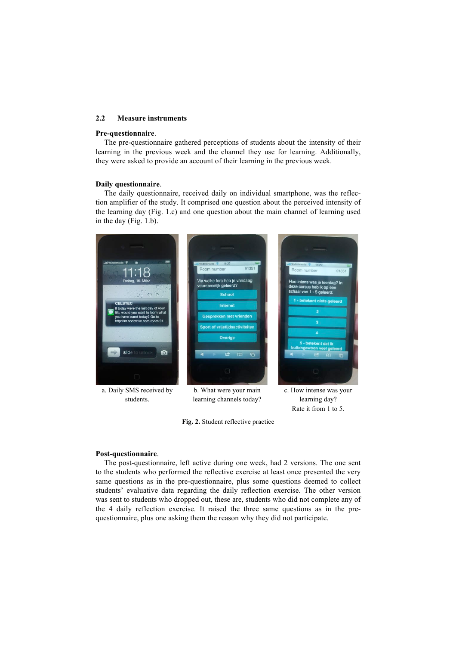#### **2.2 Measure instruments**

### **Pre-questionnaire**.

The pre-questionnaire gathered perceptions of students about the intensity of their learning in the previous week and the channel they use for learning. Additionally, they were asked to provide an account of their learning in the previous week.

### **Daily questionnaire**.

The daily questionnaire, received daily on individual smartphone, was the reflection amplifier of the study. It comprised one question about the perceived intensity of the learning day (Fig. 1.c) and one question about the main channel of learning used in the day (Fig. 1.b).



learning channels today?

learning day? Rate it from 1 to 5.

**Fig. 2.** Student reflective practice

#### **Post-questionnaire**.

The post-questionnaire, left active during one week, had 2 versions. The one sent to the students who performed the reflective exercise at least once presented the very same questions as in the pre-questionnaire, plus some questions deemed to collect students' evaluative data regarding the daily reflection exercise. The other version was sent to students who dropped out, these are, students who did not complete any of the 4 daily reflection exercise. It raised the three same questions as in the prequestionnaire, plus one asking them the reason why they did not participate.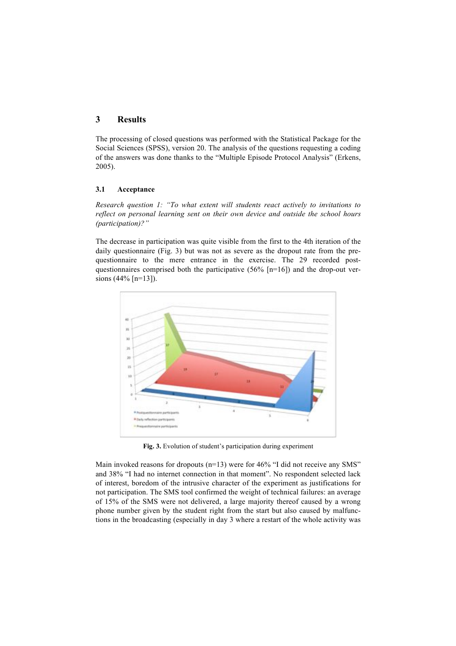## **3 Results**

The processing of closed questions was performed with the Statistical Package for the Social Sciences (SPSS), version 20. The analysis of the questions requesting a coding of the answers was done thanks to the "Multiple Episode Protocol Analysis" (Erkens, 2005).

### **3.1 Acceptance**

*Research question 1: "To what extent will students react actively to invitations to reflect on personal learning sent on their own device and outside the school hours (participation)?"*

The decrease in participation was quite visible from the first to the 4th iteration of the daily questionnaire (Fig. 3) but was not as severe as the dropout rate from the prequestionnaire to the mere entrance in the exercise. The 29 recorded postquestionnaires comprised both the participative  $(56\%$  [n=16]) and the drop-out versions (44% [n=13]).



**Fig. 3.** Evolution of student's participation during experiment

Main invoked reasons for dropouts ( $n=13$ ) were for 46% "I did not receive any SMS" and 38% "I had no internet connection in that moment". No respondent selected lack of interest, boredom of the intrusive character of the experiment as justifications for not participation. The SMS tool confirmed the weight of technical failures: an average of 15% of the SMS were not delivered, a large majority thereof caused by a wrong phone number given by the student right from the start but also caused by malfunctions in the broadcasting (especially in day 3 where a restart of the whole activity was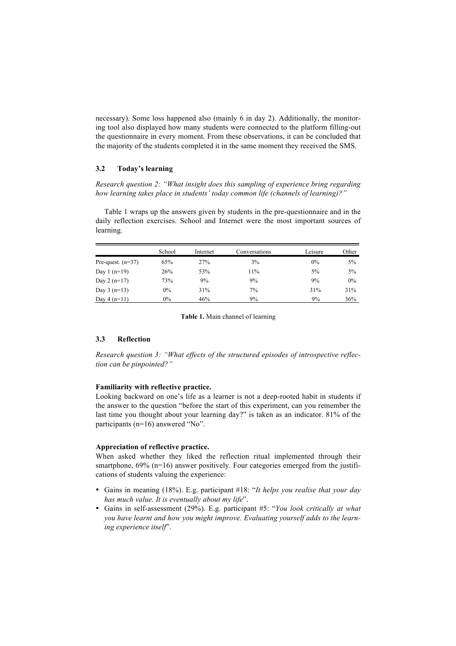necessary). Some loss happened also (mainly 6 in day 2). Additionally, the monitoring tool also displayed how many students were connected to the platform filling-out the questionnaire in every moment. From these observations, it can be concluded that the majority of the students completed it in the same moment they received the SMS.

### **3.2 Today's learning**

*Research question 2: "What insight does this sampling of experience bring regarding how learning takes place in students' today common life (channels of learning)?"*

Table 1 wraps up the answers given by students in the pre-questionnaire and in the daily reflection exercises. School and Internet were the most important sources of learning.

|                     | School | Internet | Conversations | Leisure | Other |
|---------------------|--------|----------|---------------|---------|-------|
| Pre-quest. $(n=37)$ | 65%    | 27%      | 3%            | $0\%$   | 5%    |
| Day 1 $(n=19)$      | 26%    | 53%      | 11%           | 5%      | 5%    |
| Day $2(n=17)$       | 73%    | 9%       | 9%            | 9%      | $0\%$ |
| Day $3(n=13)$       | $0\%$  | 31%      | 7%            | 31%     | 31%   |
| Day $4(n=11)$       | $0\%$  | 46%      | 9%            | 9%      | 36%   |

#### **Table 1.** Main channel of learning

### **3.3 Reflection**

*Research question 3: "What effects of the structured episodes of introspective reflection can be pinpointed?"*

#### **Familiarity with reflective practice.**

Looking backward on one's life as a learner is not a deep-rooted habit in students if the answer to the question "before the start of this experiment, can you remember the last time you thought about your learning day?" is taken as an indicator. 81% of the participants (n=16) answered "No".

#### **Appreciation of reflective practice.**

When asked whether they liked the reflection ritual implemented through their smartphone,  $69\%$  (n=16) answer positively. Four categories emerged from the justifications of students valuing the experience:

- Gains in meaning (18%). E.g. participant #18: "*It helps you realise that your day has much value. It is eventually about my life*".
- Gains in self-assessment (29%). E.g. participant #5: "*You look critically at what you have learnt and how you might improve. Evaluating yourself adds to the learning experience itself*".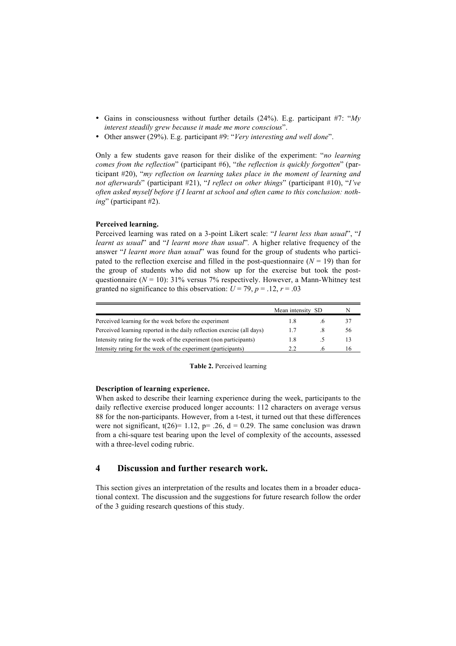- Gains in consciousness without further details (24%). E.g. participant #7: "*My interest steadily grew because it made me more conscious*".
- Other answer (29%). E.g. participant #9: "*Very interesting and well done*".

Only a few students gave reason for their dislike of the experiment: "*no learning comes from the reflection*" (participant #6), "*the reflection is quickly forgotten*" (participant #20), "*my reflection on learning takes place in the moment of learning and not afterwards*" (participant #21), "*I reflect on other things*" (participant #10), "*I've often asked myself before if I learnt at school and often came to this conclusion: nothing*" (participant #2).

### **Perceived learning.**

Perceived learning was rated on a 3-point Likert scale: "*I learnt less than usual*", "*I learnt as usual*" and "*I learnt more than usual*"*.* A higher relative frequency of the answer "*I learnt more than usual*" was found for the group of students who participated to the reflection exercise and filled in the post-questionnaire  $(N = 19)$  than for the group of students who did not show up for the exercise but took the postquestionnaire ( $N = 10$ ): 31% versus 7% respectively. However, a Mann-Whitney test granted no significance to this observation:  $U = 79$ ,  $p = .12$ ,  $r = .03$ 

|                                                                         | Mean intensity | -SD | N  |
|-------------------------------------------------------------------------|----------------|-----|----|
| Perceived learning for the week before the experiment                   | 1 X            |     | 37 |
| Perceived learning reported in the daily reflection exercise (all days) | 17             |     | 56 |
| Intensity rating for the week of the experiment (non participants)      | 1.8            |     | 13 |
| Intensity rating for the week of the experiment (participants)          |                |     | ١6 |

**Table 2.** Perceived learning

### **Description of learning experience.**

When asked to describe their learning experience during the week, participants to the daily reflective exercise produced longer accounts: 112 characters on average versus 88 for the non-participants. However, from a t-test, it turned out that these differences were not significant,  $t(26)= 1.12$ ,  $p= .26$ ,  $d= 0.29$ . The same conclusion was drawn from a chi-square test bearing upon the level of complexity of the accounts, assessed with a three-level coding rubric.

# **4 Discussion and further research work.**

This section gives an interpretation of the results and locates them in a broader educational context. The discussion and the suggestions for future research follow the order of the 3 guiding research questions of this study.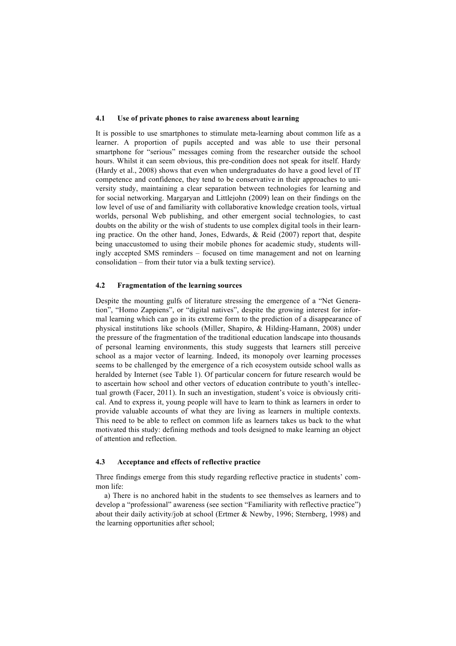#### **4.1 Use of private phones to raise awareness about learning**

It is possible to use smartphones to stimulate meta-learning about common life as a learner. A proportion of pupils accepted and was able to use their personal smartphone for "serious" messages coming from the researcher outside the school hours. Whilst it can seem obvious, this pre-condition does not speak for itself. Hardy (Hardy et al., 2008) shows that even when undergraduates do have a good level of IT competence and confidence, they tend to be conservative in their approaches to university study, maintaining a clear separation between technologies for learning and for social networking. Margaryan and Littlejohn (2009) lean on their findings on the low level of use of and familiarity with collaborative knowledge creation tools, virtual worlds, personal Web publishing, and other emergent social technologies, to cast doubts on the ability or the wish of students to use complex digital tools in their learning practice. On the other hand, Jones, Edwards,  $\&$  Reid (2007) report that, despite being unaccustomed to using their mobile phones for academic study, students willingly accepted SMS reminders – focused on time management and not on learning consolidation – from their tutor via a bulk texting service).

### **4.2 Fragmentation of the learning sources**

Despite the mounting gulfs of literature stressing the emergence of a "Net Generation", "Homo Zappiens", or "digital natives", despite the growing interest for informal learning which can go in its extreme form to the prediction of a disappearance of physical institutions like schools (Miller, Shapiro, & Hilding-Hamann, 2008) under the pressure of the fragmentation of the traditional education landscape into thousands of personal learning environments, this study suggests that learners still perceive school as a major vector of learning. Indeed, its monopoly over learning processes seems to be challenged by the emergence of a rich ecosystem outside school walls as heralded by Internet (see Table 1). Of particular concern for future research would be to ascertain how school and other vectors of education contribute to youth's intellectual growth (Facer, 2011). In such an investigation, student's voice is obviously critical. And to express it, young people will have to learn to think as learners in order to provide valuable accounts of what they are living as learners in multiple contexts. This need to be able to reflect on common life as learners takes us back to the what motivated this study: defining methods and tools designed to make learning an object of attention and reflection.

### **4.3 Acceptance and effects of reflective practice**

Three findings emerge from this study regarding reflective practice in students' common life:

a) There is no anchored habit in the students to see themselves as learners and to develop a "professional" awareness (see section "Familiarity with reflective practice") about their daily activity/job at school (Ertmer  $\&$  Newby, 1996; Sternberg, 1998) and the learning opportunities after school;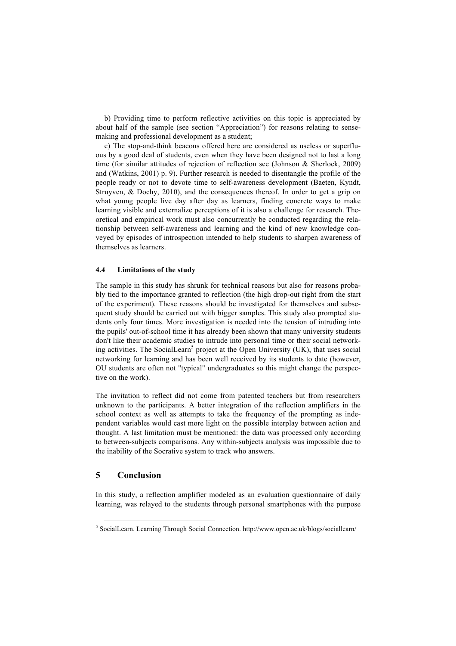b) Providing time to perform reflective activities on this topic is appreciated by about half of the sample (see section "Appreciation") for reasons relating to sensemaking and professional development as a student;

c) The stop-and-think beacons offered here are considered as useless or superfluous by a good deal of students, even when they have been designed not to last a long time (for similar attitudes of rejection of reflection see (Johnson & Sherlock, 2009) and (Watkins, 2001) p. 9). Further research is needed to disentangle the profile of the people ready or not to devote time to self-awareness development (Baeten, Kyndt, Struyven, & Dochy, 2010), and the consequences thereof. In order to get a grip on what young people live day after day as learners, finding concrete ways to make learning visible and externalize perceptions of it is also a challenge for research. Theoretical and empirical work must also concurrently be conducted regarding the relationship between self-awareness and learning and the kind of new knowledge conveyed by episodes of introspection intended to help students to sharpen awareness of themselves as learners.

### **4.4 Limitations of the study**

The sample in this study has shrunk for technical reasons but also for reasons probably tied to the importance granted to reflection (the high drop-out right from the start of the experiment). These reasons should be investigated for themselves and subsequent study should be carried out with bigger samples. This study also prompted students only four times. More investigation is needed into the tension of intruding into the pupils' out-of-school time it has already been shown that many university students don't like their academic studies to intrude into personal time or their social networking activities. The SocialLearn<sup>5</sup> project at the Open University (UK), that uses social networking for learning and has been well received by its students to date (however, OU students are often not "typical" undergraduates so this might change the perspective on the work).

The invitation to reflect did not come from patented teachers but from researchers unknown to the participants. A better integration of the reflection amplifiers in the school context as well as attempts to take the frequency of the prompting as independent variables would cast more light on the possible interplay between action and thought. A last limitation must be mentioned: the data was processed only according to between-subjects comparisons. Any within-subjects analysis was impossible due to the inability of the Socrative system to track who answers.

## **5 Conclusion**

In this study, a reflection amplifier modeled as an evaluation questionnaire of daily learning, was relayed to the students through personal smartphones with the purpose

 <sup>5</sup> SocialLearn. Learning Through Social Connection. http://www.open.ac.uk/blogs/sociallearn/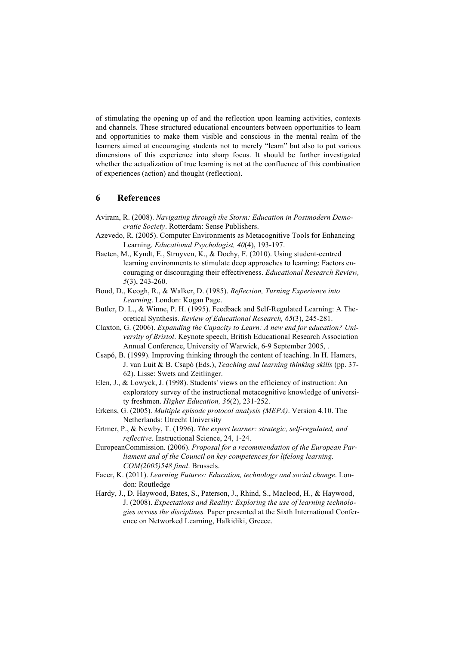of stimulating the opening up of and the reflection upon learning activities, contexts and channels. These structured educational encounters between opportunities to learn and opportunities to make them visible and conscious in the mental realm of the learners aimed at encouraging students not to merely "learn" but also to put various dimensions of this experience into sharp focus. It should be further investigated whether the actualization of true learning is not at the confluence of this combination of experiences (action) and thought (reflection).

## **6 References**

- Aviram, R. (2008). *Navigating through the Storm: Education in Postmodern Democratic Society*. Rotterdam: Sense Publishers.
- Azevedo, R. (2005). Computer Environments as Metacognitive Tools for Enhancing Learning. *Educational Psychologist, 40*(4), 193-197.
- Baeten, M., Kyndt, E., Struyven, K., & Dochy, F. (2010). Using student-centred learning environments to stimulate deep approaches to learning: Factors encouraging or discouraging their effectiveness. *Educational Research Review, 5*(3), 243-260.
- Boud, D., Keogh, R., & Walker, D. (1985). *Reflection, Turning Experience into Learning*. London: Kogan Page.
- Butler, D. L., & Winne, P. H. (1995). Feedback and Self-Regulated Learning: A Theoretical Synthesis. *Review of Educational Research, 65*(3), 245-281.
- Claxton, G. (2006). *Expanding the Capacity to Learn: A new end for education? University of Bristol*. Keynote speech, British Educational Research Association Annual Conference, University of Warwick, 6-9 September 2005, .
- Csapó, B. (1999). Improving thinking through the content of teaching. In H. Hamers, J. van Luit & B. Csapó (Eds.), *Teaching and learning thinking skills* (pp. 37- 62). Lisse: Swets and Zeitlinger.
- Elen, J., & Lowyck, J. (1998). Students' views on the efficiency of instruction: An exploratory survey of the instructional metacognitive knowledge of university freshmen. *Higher Education, 36*(2), 231-252.
- Erkens, G. (2005). *Multiple episode protocol analysis (MEPA)*. Version 4.10. The Netherlands: Utrecht University
- Ertmer, P., & Newby, T. (1996). *The expert learner: strategic, self-regulated, and reflective*. Instructional Science, 24, 1-24.
- EuropeanCommission. (2006). *Proposal for a recommendation of the European Parliament and of the Council on key competences for lifelong learning. COM(2005)548 final*. Brussels.
- Facer, K. (2011). *Learning Futures: Education, technology and social change*. London: Routledge
- Hardy, J., D. Haywood, Bates, S., Paterson, J., Rhind, S., Macleod, H., & Haywood, J. (2008). *Expectations and Reality: Exploring the use of learning technologies across the disciplines.* Paper presented at the Sixth International Conference on Networked Learning, Halkidiki, Greece.